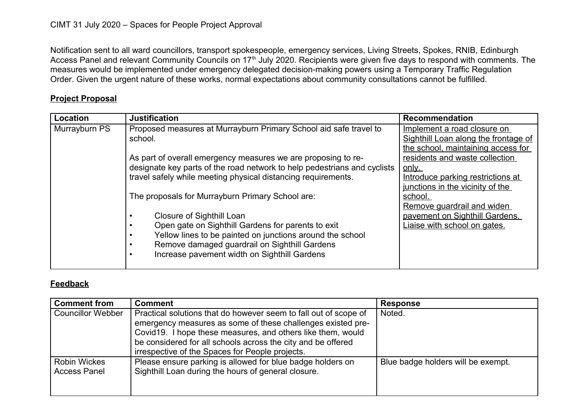Notification sent to all ward councillors, transport spokespeople, emergency services, Living Streets, Spokes, RNIB, Edinburgh Access Panel and relevant Community Councils on 17<sup>th</sup> July 2020. Recipients were given five days to respond with comments. The measures would be implemented under emergency delegated decision-making powers using a Temporary Traffic Regulation Order. Given the urgent nature of these works, normal expectations about community consultations cannot be fulfilled.

## **Project Proposal**

| Location      | <b>Justification</b>                                                     | <b>Recommendation</b>                |
|---------------|--------------------------------------------------------------------------|--------------------------------------|
| Murrayburn PS | Proposed measures at Murrayburn Primary School aid safe travel to        | Implement a road closure on          |
|               | school.                                                                  | Sighthill Loan along the frontage of |
|               |                                                                          | the school, maintaining access for   |
|               | As part of overall emergency measures we are proposing to re-            | residents and waste collection       |
|               | designate key parts of the road network to help pedestrians and cyclists | <u>only.</u>                         |
|               | travel safely while meeting physical distancing requirements.            | Introduce parking restrictions at    |
|               |                                                                          | junctions in the vicinity of the     |
|               | The proposals for Murrayburn Primary School are:                         | school.                              |
|               |                                                                          | Remove guardrail and widen           |
|               | Closure of Sighthill Loan                                                | pavement on Sighthill Gardens.       |
|               | Open gate on Sighthill Gardens for parents to exit                       | Liaise with school on gates.         |
|               | Yellow lines to be painted on junctions around the school                |                                      |
|               | Remove damaged guardrail on Sighthill Gardens                            |                                      |
|               | Increase pavement width on Sighthill Gardens                             |                                      |
|               |                                                                          |                                      |

## **Feedback**

| <b>Comment from</b>                        | <b>Comment</b>                                                                                                                                                                                                                                                                                                    | <b>Response</b>                    |
|--------------------------------------------|-------------------------------------------------------------------------------------------------------------------------------------------------------------------------------------------------------------------------------------------------------------------------------------------------------------------|------------------------------------|
| <b>Councillor Webber</b>                   | Practical solutions that do however seem to fall out of scope of<br>emergency measures as some of these challenges existed pre-<br>Covid19. I hope these measures, and others like them, would<br>be considered for all schools across the city and be offered<br>irrespective of the Spaces for People projects. | Noted.                             |
| <b>Robin Wickes</b><br><b>Access Panel</b> | Please ensure parking is allowed for blue badge holders on<br>Sighthill Loan during the hours of general closure.                                                                                                                                                                                                 | Blue badge holders will be exempt. |